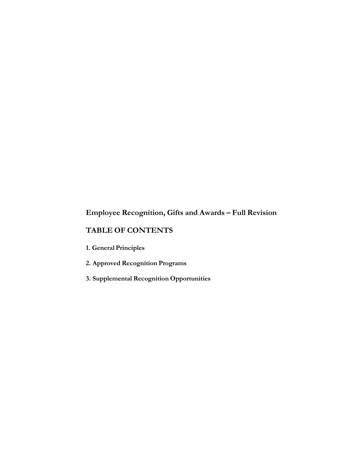# **Employee Recognition, Gifts and Awards – Full Revision**

## **TABLE OF CONTENTS**

- **1. General Principles**
- **2. Approved Recognition Programs**
- **3. Supplemental Recognition Opportunities**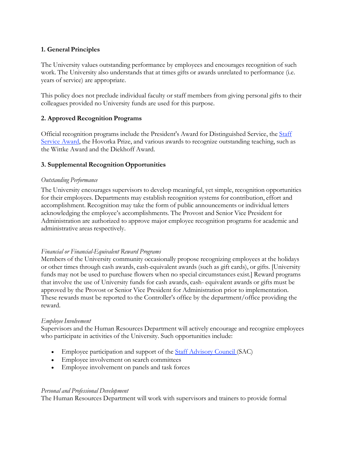## **1. General Principles**

The University values outstanding performance by employees and encourages recognition of such work. The University also understands that at times gifts or awards unrelated to performance (i.e. years of service) are appropriate.

This policy does not preclude individual faculty or staff members from giving personal gifts to their colleagues provided no University funds are used for this purpose.

## **2. Approved Recognition Programs**

Official recognition programs include the President's Award for Distinguished Service, the Staff Service Award, the Hovorka Prize, and various awards to recognize outstanding teaching, such as the Wittke Award and the Diekhoff Award.

## **3. Supplemental Recognition Opportunities**

#### *Outstanding Performance*

The University encourages supervisors to develop meaningful, yet simple, recognition opportunities for their employees. Departments may establish recognition systems for contribution, effort and accomplishment. Recognition may take the form of public announcements or individual letters acknowledging the employee's accomplishments. The Provost and Senior Vice President for Administration are authorized to approve major employee recognition programs for academic and administrative areas respectively.

#### *Financial or Financial-Equivalent Reward Programs*

Members of the University community occasionally propose recognizing employees at the holidays or other times through cash awards, cash-equivalent awards (such as gift cards), or gifts. [University funds may not be used to purchase flowers when no special circumstances exist.] Reward programs that involve the use of University funds for cash awards, cash- equivalent awards or gifts must be approved by the Provost or Senior Vice President for Administration prior to implementation. These rewards must be reported to the Controller's office by the department/office providing the reward.

#### *Employee Involvement*

Supervisors and the Human Resources Department will actively encourage and recognize employees who participate in activities of the University. Such opportunities include:

- Employee participation and support of the **Staff Advisory Council** (SAC)
- Employee involvement on search committees
- Employee involvement on panels and task forces

#### *Personal and Professional Development*

The Human Resources Department will work with supervisors and trainers to provide formal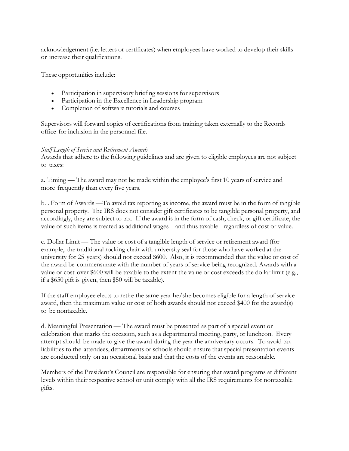acknowledgement (i.e. letters or certificates) when employees have worked to develop their skills or increase their qualifications.

These opportunities include:

- Participation in supervisory briefing sessions for supervisors
- Participation in the Excellence in Leadership program
- Completion of software tutorials and courses

Supervisors will forward copies of certifications from training taken externally to the Records office for inclusion in the personnel file.

#### *Staff Length of Service and Retirement Awards*

Awards that adhere to the following guidelines and are given to eligible employees are not subject to taxes:

a. Timing — The award may not be made within the employee's first 10 years of service and more frequently than every five years.

b. . Form of Awards —To avoid tax reporting as income, the award must be in the form of tangible personal property. The IRS does not consider gift certificates to be tangible personal property, and accordingly, they are subject to tax. If the award is in the form of cash, check, or gift certificate, the value of such items is treated as additional wages – and thus taxable - regardless of cost or value.

c. Dollar Limit — The value or cost of a tangible length of service or retirement award (for example, the traditional rocking chair with university seal for those who have worked at the university for 25 years) should not exceed \$600. Also, it is recommended that the value or cost of the award be commensurate with the number of years of service being recognized. Awards with a value or cost over \$600 will be taxable to the extent the value or cost exceeds the dollar limit (e.g., if a \$650 gift is given, then \$50 will be taxable).

If the staff employee elects to retire the same year he/she becomes eligible for a length of service award, then the maximum value or cost of both awards should not exceed \$400 for the award(s) to be nontaxable.

d. Meaningful Presentation — The award must be presented as part of a special event or celebration that marks the occasion, such as a departmental meeting, party, or luncheon. Every attempt should be made to give the award during the year the anniversary occurs. To avoid tax liabilities to the attendees, departments or schools should ensure that special presentation events are conducted only on an occasional basis and that the costs of the events are reasonable.

Members of the President's Council are responsible for ensuring that award programs at different levels within their respective school or unit comply with all the IRS requirements for nontaxable gifts.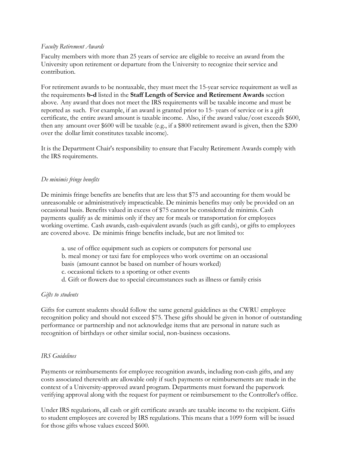#### *Faculty Retirement Awards*

Faculty members with more than 25 years of service are eligible to receive an award from the University upon retirement or departure from the University to recognize their service and contribution.

For retirement awards to be nontaxable, they must meet the 15-year service requirement as well as the requirements **b-d** listed in the **Staff Length of Service and Retirement Awards** section above. Any award that does not meet the IRS requirements will be taxable income and must be reported as such. For example, if an award is granted prior to 15- years of service or is a gift certificate, the entire award amount is taxable income. Also, if the award value/cost exceeds \$600, then any amount over \$600 will be taxable (e.g., if a \$800 retirement award is given, then the \$200 over the dollar limit constitutes taxable income).

It is the Department Chair's responsibility to ensure that Faculty Retirement Awards comply with the IRS requirements.

#### *De minimis fringe benefits*

De minimis fringe benefits are benefits that are less that \$75 and accounting for them would be unreasonable or administratively impracticable. De minimis benefits may only be provided on an occasional basis. Benefits valued in excess of \$75 cannot be considered de minimis. Cash payments qualify as de minimis only if they are for meals or transportation for employees working overtime. Cash awards, cash-equivalent awards (such as gift cards), or gifts to employees are covered above. De minimis fringe benefits include, but are not limited to:

a. use of office equipment such as copiers or computers for personal use b. meal money or taxi fare for employees who work overtime on an occasional basis (amount cannot be based on number of hours worked) c. occasional tickets to a sporting or other events d. Gift or flowers due to special circumstances such as illness or family crisis

#### *Gifts to students*

Gifts for current students should follow the same general guidelines as the CWRU employee recognition policy and should not exceed \$75. These gifts should be given in honor of outstanding performance or partnership and not acknowledge items that are personal in nature such as recognition of birthdays or other similar social, non-business occasions.

#### *IRS Guidelines*

Payments or reimbursements for employee recognition awards, including non-cash gifts, and any costs associated therewith are allowable only if such payments or reimbursements are made in the context of a University-approved award program. Departments must forward the paperwork verifying approval along with the request for payment or reimbursement to the Controller's office.

Under IRS regulations, all cash or gift certificate awards are taxable income to the recipient. Gifts to student employees are covered by IRS regulations. This means that a 1099 form will be issued for those gifts whose values exceed \$600.